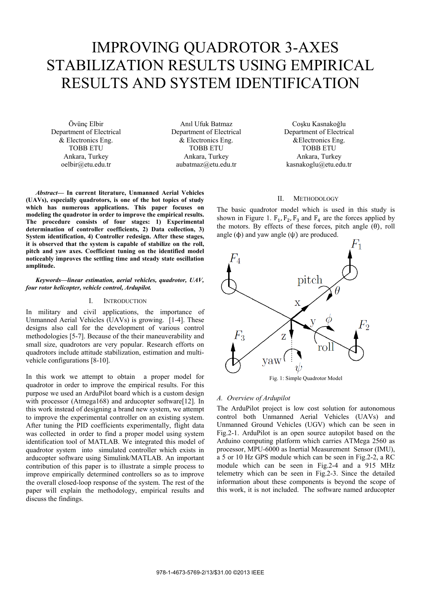# IMPROVING QUADROTOR 3-AXES STABILIZATION RESULTS USING EMPIRICAL RESULTS AND SYSTEM IDENTIFICATION

Övünç Elbir Department of Electrical & Electronics Eng. TOBB ETU Ankara, Turkey oelbir@etu.edu.tr

**amplitude.** 

Anıl Ufuk Batmaz Department of Electrical & Electronics Eng. TOBB ETU Ankara, Turkey aubatmaz@etu.edu.tr

Coşku Kasnakoğlu Department of Electrical &Electronics Eng. TOBB ETU Ankara, Turkey kasnakoglu@etu.edu.tr

# II. METHODOLOGY

**(UAVs), especially quadrotors, is one of the hot topics of study which has numerous applications. This paper focuses on modeling the quadrotor in order to improve the empirical results. The procedure consists of four stages: 1) Experimental determination of controller coefficients, 2) Data collection, 3) System identification, 4) Controller redesign. After these stages, it is observed that the system is capable of stabilize on the roll, pitch and yaw axes. Coefficient tuning on the identified model noticeably improves the settling time and steady state oscillation** 

#### *Keywords—linear estimation, aerial vehicles, quadrotor, UAV, four rotor helicopter, vehicle control, Ardupilot.*

*Abstract***— In current literature, Unmanned Aerial Vehicles** 

#### I. INTRODUCTION

In military and civil applications, the importance of Unmanned Aerial Vehicles (UAVs) is growing. [1-4]. These designs also call for the development of various control methodologies [5-7]. Because of the their maneuverability and small size, quadrotors are very popular. Research efforts on quadrotors include attitude stabilization, estimation and multivehicle configurations [8-10].

In this work we attempt to obtain a proper model for quadrotor in order to improve the empirical results. For this purpose we used an ArduPilot board which is a custom design with processor (Atmega168) and arducopter software[12]. In this work instead of designing a brand new system, we attempt to improve the experimental controller on an existing system. After tuning the PID coefficients experimentally, flight data was collected in order to find a proper model using system identification tool of MATLAB. We integrated this model of quadrotor system into simulated controller which exists in arducopter software using Simulink/MATLAB. An important contribution of this paper is to illustrate a simple process to improve empirically determined controllers so as to improve the overall closed-loop response of the system. The rest of the paper will explain the methodology, empirical results and discuss the findings.

The basic quadrotor model which is used in this study is shown in Figure 1.  $F_1$ ,  $F_2$ ,  $F_3$  and  $F_4$  are the forces applied by the motors. By effects of these forces, pitch angle  $(\theta)$ , roll angle  $(\phi)$  and yaw angle  $(\psi)$  are produced.



Fig. 1: Simple Quadrotor Model

#### *A. Overview of Ardupilot*

The ArduPilot project is low cost solution for autonomous control both Unmanned Aerial Vehicles (UAVs) and Unmanned Ground Vehicles (UGV) which can be seen in Fig.2-1. ArduPilot is an open source autopilot based on the Arduino computing platform which carries ATMega 2560 as processor, MPU-6000 as Inertial Measurement Sensor (IMU), a 5 or 10 Hz GPS module which can be seen in Fig.2-2, a RC module which can be seen in Fig.2-4 and a 915 MHz telemetry which can be seen in Fig.2-3. Since the detailed information about these components is beyond the scope of this work, it is not included. The software named arducopter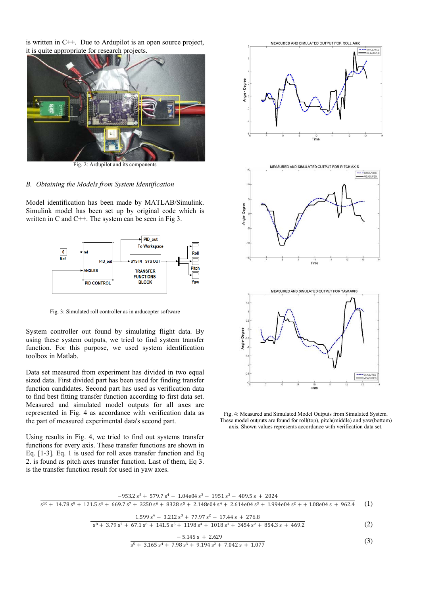is written in  $C++$ . Due to Ardupilot is an open source project, it is quite appropriate for research projects.



Fig. 2: Ardupilot and its components

# B. Obtaining the Models from System Identification

Model identification has been made by MATLAB/Simulink. Simulink model has been set up by original code which is written in C and C++. The system can be seen in Fig  $3$ .



Fig. 3: Simulated roll controller as in arducopter software

System controller out found by simulating flight data. By using these system outputs, we tried to find system transfer function. For this purpose, we used system identification toolbox in Matlab.

Data set measured from experiment has divided in two equal sized data. First divided part has been used for finding transfer function candidates. Second part has used as verification data to find best fitting transfer function according to first data set. Measured and simulated model outputs for all axes are represented in Fig. 4 as accordance with verification data as the part of measured experimental data's second part.

Using results in Fig. 4, we tried to find out systems transfer functions for every axis. These transfer functions are shown in Eq.  $[1-3]$ . Eq. 1 is used for roll axes transfer function and Eq. 2. is found as pitch axes transfer function. Last of them, Eq 3. is the transfer function result for used in yaw axes.



Fig. 4: Measured and Simulated Model Outputs from Simulated System. These model outputs are found for roll(top), pitch(middle) and yaw(bottom) axis. Shown values represents accordance with verification data set.

| $-953.2 s^5 + 579.7 s^4 - 1.04e^{04} s^3 - 1951 s^2 - 409.5 s + 2024$                                                                                                 |     |
|-----------------------------------------------------------------------------------------------------------------------------------------------------------------------|-----|
| $s^{10}$ + 14.78 $s^{9}$ + 121.5 $s^{8}$ + 669.7 $s^{7}$ + 3250 $s^{6}$ + 8328 $s^{5}$ + 2.148e04 $s^{4}$ + 2.614e04 $s^{3}$ + 1.994e04 $s^{2}$ + + 1.08e04 s + 962.4 | (1) |
| $1.599 s4 - 3.212 s3 + 77.97 s2 - 17.44 s + 276.8$                                                                                                                    |     |
| $s^8$ + 3.79 s <sup>7</sup> + 67.1 s <sup>6</sup> + 141.5 s <sup>5</sup> + 1198 s <sup>4</sup> + 1018 s <sup>3</sup> + 3454 s <sup>2</sup> + 854.3 s + 469.2          | (2) |
| $-5.145 s + 2.629$                                                                                                                                                    | (3) |
| $s^5$ + 3.165 $s^4$ + 7.98 $s^3$ + 9.194 $s^2$ + 7.042 s + 1.077                                                                                                      |     |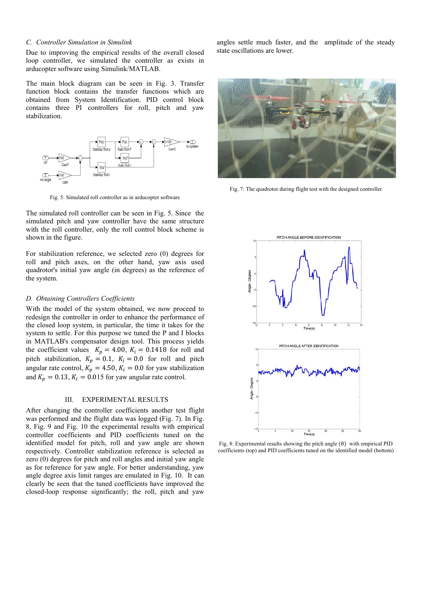# *C. Controller Simulation in Simulink*

Due to improving the empirical results of the overall closed loop controller, we simulated the controller as exists in arducopter software using Simulink/MATLAB.

The main block diagram can be seen in Fig. 3. Transfer function block contains the transfer functions which are obtained from System Identification. PID control block contains three PI controllers for roll, pitch and yaw stabilization.



Fig. 5: Simulated roll controller as in arducopter software

The simulated roll controller can be seen in Fig. 5. Since the simulated pitch and yaw controller have the same structure with the roll controller, only the roll control block scheme is shown in the figure.

For stabilization reference, we selected zero (0) degrees for roll and pitch axes, on the other hand, yaw axis used quadrotor's initial yaw angle (in degrees) as the reference of the system.

#### *D. Obtaining Controllers Coefficients*

With the model of the system obtained, we now proceed to redesign the controller in order to enhance the performance of the closed loop system, in particular, the time it takes for the system to settle. For this purpose we tuned the P and I blocks in MATLAB's compensator design tool. This process yields the coefficient values  $K_p = 4.00$ ,  $K_i = 0.1418$  for roll and pitch stabilization,  $K_p = 0.1$ ,  $K_i = 0.0$  for roll and pitch angular rate control,  $K_p = 4.50$ ,  $K_i = 0.0$  for yaw stabilization and  $K_p = 0.13$ ,  $K_i = 0.015$  for yaw angular rate control.

# III. EXPERIMENTAL RESULTS

After changing the controller coefficients another test flight was performed and the flight data was logged (Fig. 7). In Fig. 8, Fig. 9 and Fig. 10 the experimental results with empirical controller coefficients and PID coefficients tuned on the identified model for pitch, roll and yaw angle are shown respectively. Controller stabilization reference is selected as zero (0) degrees for pitch and roll angles and initial yaw angle as for reference for yaw angle. For better understanding, yaw angle degree axis limit ranges are emulated in Fig. 10. It can clearly be seen that the tuned coefficients have improved the closed-loop response significantly; the roll, pitch and yaw

angles settle much faster, and the amplitude of the steady state oscillations are lower.



Fig. 7: The quadrotor during flight test with the designed controller



Fig. 8: Experimental results showing the pitch angle  $(\theta)$  with empirical PID coefficients (top) and PID coefficients tuned on the identified model (bottom)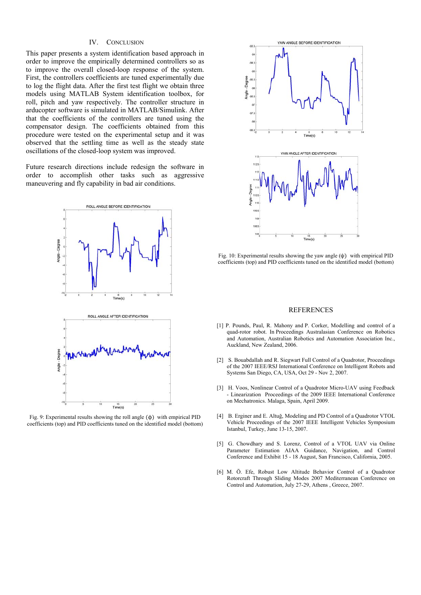# IV. CONCLUSION

This paper presents a system identification based approach in order to improve the empirically determined controllers so as to improve the overall closed-loop response of the system. First, the controllers coefficients are tuned experimentally due to log the flight data. After the first test flight we obtain three models using MATLAB System identification toolbox, for roll, pitch and yaw respectively. The controller structure in arducopter software is simulated in MATLAB/Simulink. After that the coefficients of the controllers are tuned using the compensator design. The coefficients obtained from this procedure were tested on the experimental setup and it was observed that the settling time as well as the steady state oscillations of the closed-loop system was improved.

Future research directions include redesign the software in order to accomplish other tasks such as aggressive maneuvering and fly capability in bad air conditions.



Fig. 9: Experimental results showing the roll angle (ϕ) with empirical PID coefficients (top) and PID coefficients tuned on the identified model (bottom)



Fig. 10: Experimental results showing the yaw angle (ψ) with empirical PID coefficients (top) and PID coefficients tuned on the identified model (bottom)

#### **REFERENCES**

- [1] P. Pounds, Paul, R. Mahony and P. Corker, Modelling and control of a quad-rotor robot. In Proceedings Australasian Conference on Robotics and Automation, Australian Robotics and Automation Association Inc., Auckland, New Zealand, 2006.
- [2] S. Bouabdallah and R. Siegwart Full Control of a Quadrotor, Proceedings of the 2007 IEEE/RSJ International Conference on Intelligent Robots and Systems San Diego, CA, USA, Oct 29 - Nov 2, 2007.
- [3] H. Voos, Nonlinear Control of a Quadrotor Micro-UAV using Feedback - Linearization Proceedings of the 2009 IEEE International Conference on Mechatronics. Malaga, Spain, April 2009.
- [4] B. Erginer and E. Altuğ, Modeling and PD Control of a Quadrotor VTOL Vehicle Proceedings of the 2007 IEEE Intelligent Vehicles Symposium Istanbul, Turkey, June 13-15, 2007.
- [5] G. Chowdhary and S. Lorenz, Control of a VTOL UAV via Online Parameter Estimation AIAA Guidance, Navigation, and Control Conference and Exhibit 15 - 18 August, San Francisco, California, 2005.
- [6] M. Ö. Efe, Robust Low Altitude Behavior Control of a Quadrotor Rotorcraft Through Sliding Modes 2007 Mediterranean Conference on Control and Automation, July 27-29, Athens , Greece, 2007.